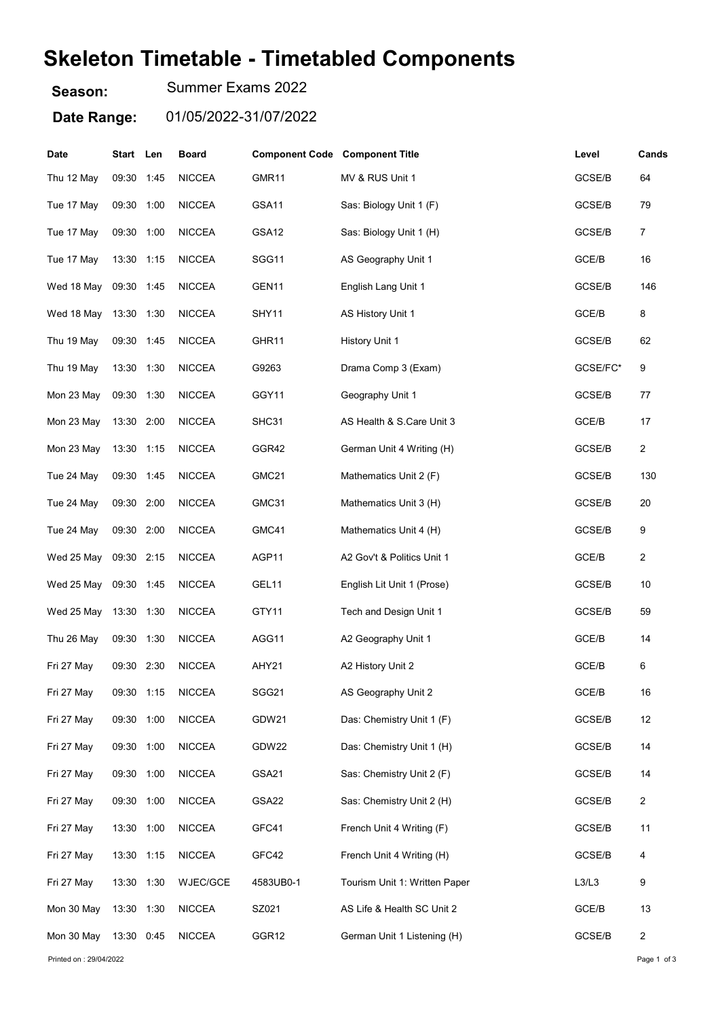## Skeleton Timetable - Timetabled Components

Season: Summer Exams 2022

Date Range: 01/05/2022-31/07/2022

| Date                   | Start Len  |      | <b>Board</b>  | <b>Component Code Component Title</b> |                               | Level    | Cands          |
|------------------------|------------|------|---------------|---------------------------------------|-------------------------------|----------|----------------|
| Thu 12 May             | 09:30 1:45 |      | <b>NICCEA</b> | GMR11                                 | MV & RUS Unit 1               | GCSE/B   | 64             |
| Tue 17 May             | 09:30 1:00 |      | <b>NICCEA</b> | GSA11                                 | Sas: Biology Unit 1 (F)       | GCSE/B   | 79             |
| Tue 17 May             | 09:30 1:00 |      | <b>NICCEA</b> | GSA12                                 | Sas: Biology Unit 1 (H)       | GCSE/B   | $\overline{7}$ |
| Tue 17 May             | 13:30 1:15 |      | <b>NICCEA</b> | SGG11                                 | AS Geography Unit 1           | GCE/B    | 16             |
| Wed 18 May             | 09:30 1:45 |      | <b>NICCEA</b> | GEN11                                 | English Lang Unit 1           | GCSE/B   | 146            |
| Wed 18 May             | 13:30 1:30 |      | <b>NICCEA</b> | SHY11                                 | AS History Unit 1             | GCE/B    | 8              |
| Thu 19 May             | 09:30 1:45 |      | <b>NICCEA</b> | GHR11                                 | <b>History Unit 1</b>         | GCSE/B   | 62             |
| Thu 19 May             | 13:30 1:30 |      | <b>NICCEA</b> | G9263                                 | Drama Comp 3 (Exam)           | GCSE/FC* | 9              |
| Mon 23 May             | 09:30 1:30 |      | <b>NICCEA</b> | GGY11                                 | Geography Unit 1              | GCSE/B   | 77             |
| Mon 23 May             | 13:30 2:00 |      | <b>NICCEA</b> | SHC31                                 | AS Health & S.Care Unit 3     | GCE/B    | 17             |
| Mon 23 May             | 13:30 1:15 |      | <b>NICCEA</b> | GGR42                                 | German Unit 4 Writing (H)     | GCSE/B   | $\overline{c}$ |
| Tue 24 May             | 09:30 1:45 |      | <b>NICCEA</b> | GMC21                                 | Mathematics Unit 2 (F)        | GCSE/B   | 130            |
| Tue 24 May             | 09:30 2:00 |      | <b>NICCEA</b> | GMC31                                 | Mathematics Unit 3 (H)        | GCSE/B   | 20             |
| Tue 24 May             | 09:30 2:00 |      | <b>NICCEA</b> | GMC41                                 | Mathematics Unit 4 (H)        | GCSE/B   | 9              |
| Wed 25 May             | 09:30 2:15 |      | <b>NICCEA</b> | AGP11                                 | A2 Gov't & Politics Unit 1    | GCE/B    | $\overline{c}$ |
| Wed 25 May 09:30 1:45  |            |      | <b>NICCEA</b> | GEL11                                 | English Lit Unit 1 (Prose)    | GCSE/B   | 10             |
| Wed 25 May             | 13:30 1:30 |      | <b>NICCEA</b> | GTY11                                 | Tech and Design Unit 1        | GCSE/B   | 59             |
| Thu 26 May             | 09:30      | 1:30 | <b>NICCEA</b> | AGG11                                 | A2 Geography Unit 1           | GCE/B    | 14             |
| Fri 27 May             | 09:30      | 2:30 | <b>NICCEA</b> | AHY21                                 | A2 History Unit 2             | GCE/B    | 6              |
| Fri 27 May             | 09:30 1:15 |      | <b>NICCEA</b> | SGG21                                 | AS Geography Unit 2           | GCE/B    | 16             |
| Fri 27 May             | 09:30 1:00 |      | <b>NICCEA</b> | GDW21                                 | Das: Chemistry Unit 1 (F)     | GCSE/B   | 12             |
| Fri 27 May             | 09:30 1:00 |      | <b>NICCEA</b> | GDW22                                 | Das: Chemistry Unit 1 (H)     | GCSE/B   | 14             |
| Fri 27 May             | 09:30 1:00 |      | <b>NICCEA</b> | GSA21                                 | Sas: Chemistry Unit 2 (F)     | GCSE/B   | 14             |
| Fri 27 May             | 09:30 1:00 |      | <b>NICCEA</b> | GSA22                                 | Sas: Chemistry Unit 2 (H)     | GCSE/B   | $\overline{c}$ |
| Fri 27 May             | 13:30 1:00 |      | <b>NICCEA</b> | GFC41                                 | French Unit 4 Writing (F)     | GCSE/B   | 11             |
| Fri 27 May             | 13:30 1:15 |      | <b>NICCEA</b> | GFC42                                 | French Unit 4 Writing (H)     | GCSE/B   | 4              |
| Fri 27 May             | 13:30 1:30 |      | WJEC/GCE      | 4583UB0-1                             | Tourism Unit 1: Written Paper | L3/L3    | 9              |
| Mon 30 May             | 13:30 1:30 |      | <b>NICCEA</b> | SZ021                                 | AS Life & Health SC Unit 2    | GCE/B    | 13             |
| Mon 30 May             | 13:30 0:45 |      | <b>NICCEA</b> | GGR12                                 | German Unit 1 Listening (H)   | GCSE/B   | 2              |
| Printed on: 29/04/2022 |            |      |               |                                       |                               |          | Page 1 of 3    |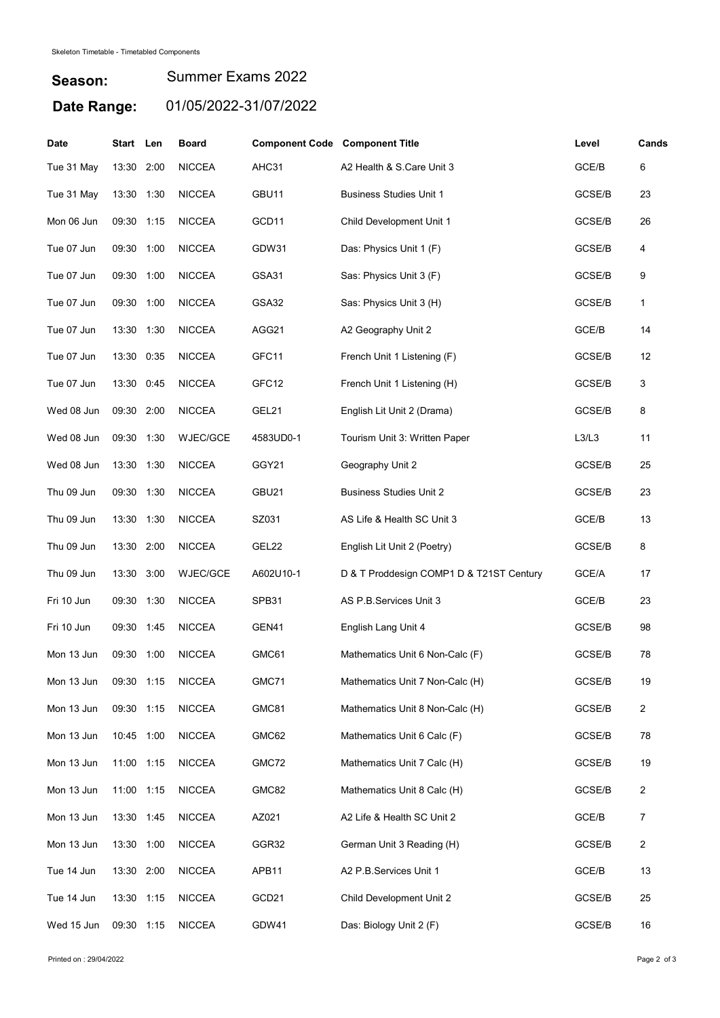## Season: Date Range: 01/05/2022-31/07/2022 Summer Exams 2022

| Date       | Start Len  |      | <b>Board</b>    | <b>Component Code Component Title</b> |                                          | Level  | Cands |
|------------|------------|------|-----------------|---------------------------------------|------------------------------------------|--------|-------|
| Tue 31 May | 13:30      | 2:00 | <b>NICCEA</b>   | AHC31                                 | A2 Health & S.Care Unit 3                | GCE/B  | 6     |
| Tue 31 May | 13:30 1:30 |      | <b>NICCEA</b>   | GBU11                                 | <b>Business Studies Unit 1</b>           | GCSE/B | 23    |
| Mon 06 Jun | 09:30 1:15 |      | <b>NICCEA</b>   | GCD11                                 | Child Development Unit 1                 | GCSE/B | 26    |
| Tue 07 Jun | 09:30 1:00 |      | <b>NICCEA</b>   | GDW31                                 | Das: Physics Unit 1 (F)                  | GCSE/B | 4     |
| Tue 07 Jun | 09:30 1:00 |      | <b>NICCEA</b>   | GSA31                                 | Sas: Physics Unit 3 (F)                  | GCSE/B | 9     |
| Tue 07 Jun | 09:30 1:00 |      | <b>NICCEA</b>   | GSA32                                 | Sas: Physics Unit 3 (H)                  | GCSE/B | 1     |
| Tue 07 Jun | 13:30 1:30 |      | <b>NICCEA</b>   | AGG21                                 | A2 Geography Unit 2                      | GCE/B  | 14    |
| Tue 07 Jun | 13:30 0:35 |      | <b>NICCEA</b>   | GFC11                                 | French Unit 1 Listening (F)              | GCSE/B | 12    |
| Tue 07 Jun | 13:30 0:45 |      | <b>NICCEA</b>   | GFC12                                 | French Unit 1 Listening (H)              | GCSE/B | 3     |
| Wed 08 Jun | 09:30 2:00 |      | <b>NICCEA</b>   | GEL21                                 | English Lit Unit 2 (Drama)               | GCSE/B | 8     |
| Wed 08 Jun | 09:30 1:30 |      | WJEC/GCE        | 4583UD0-1                             | Tourism Unit 3: Written Paper            | L3/L3  | 11    |
| Wed 08 Jun | 13:30      | 1:30 | <b>NICCEA</b>   | GGY21                                 | Geography Unit 2                         | GCSE/B | 25    |
| Thu 09 Jun | 09:30 1:30 |      | <b>NICCEA</b>   | GBU21                                 | <b>Business Studies Unit 2</b>           | GCSE/B | 23    |
| Thu 09 Jun | 13:30 1:30 |      | <b>NICCEA</b>   | SZ031                                 | AS Life & Health SC Unit 3               | GCE/B  | 13    |
| Thu 09 Jun | 13:30      | 2:00 | <b>NICCEA</b>   | GEL22                                 | English Lit Unit 2 (Poetry)              | GCSE/B | 8     |
| Thu 09 Jun | 13:30      | 3:00 | <b>WJEC/GCE</b> | A602U10-1                             | D & T Proddesign COMP1 D & T21ST Century | GCE/A  | 17    |
| Fri 10 Jun | 09:30 1:30 |      | <b>NICCEA</b>   | SPB31                                 | AS P.B.Services Unit 3                   | GCE/B  | 23    |
| Fri 10 Jun | 09:30      | 1:45 | <b>NICCEA</b>   | GEN41                                 | English Lang Unit 4                      | GCSE/B | 98    |
| Mon 13 Jun | 09:30      | 1:00 | <b>NICCEA</b>   | GMC61                                 | Mathematics Unit 6 Non-Calc (F)          | GCSE/B | 78    |
| Mon 13 Jun | 09:30 1:15 |      | <b>NICCEA</b>   | GMC71                                 | Mathematics Unit 7 Non-Calc (H)          | GCSE/B | 19    |
| Mon 13 Jun | 09:30 1:15 |      | <b>NICCEA</b>   | GMC81                                 | Mathematics Unit 8 Non-Calc (H)          | GCSE/B | 2     |
| Mon 13 Jun | 10:45 1:00 |      | <b>NICCEA</b>   | GMC62                                 | Mathematics Unit 6 Calc (F)              | GCSE/B | 78    |
| Mon 13 Jun | 11:00 1:15 |      | <b>NICCEA</b>   | GMC72                                 | Mathematics Unit 7 Calc (H)              | GCSE/B | 19    |
| Mon 13 Jun | 11:00 1:15 |      | <b>NICCEA</b>   | GMC82                                 | Mathematics Unit 8 Calc (H)              | GCSE/B | 2     |
| Mon 13 Jun | 13:30 1:45 |      | <b>NICCEA</b>   | AZ021                                 | A2 Life & Health SC Unit 2               | GCE/B  | 7     |
| Mon 13 Jun | 13:30 1:00 |      | <b>NICCEA</b>   | GGR32                                 | German Unit 3 Reading (H)                | GCSE/B | 2     |
| Tue 14 Jun | 13:30 2:00 |      | <b>NICCEA</b>   | APB11                                 | A2 P.B.Services Unit 1                   | GCE/B  | 13    |
| Tue 14 Jun | 13:30 1:15 |      | <b>NICCEA</b>   | GCD21                                 | Child Development Unit 2                 | GCSE/B | 25    |
| Wed 15 Jun | 09:30 1:15 |      | <b>NICCEA</b>   | GDW41                                 | Das: Biology Unit 2 (F)                  | GCSE/B | 16    |